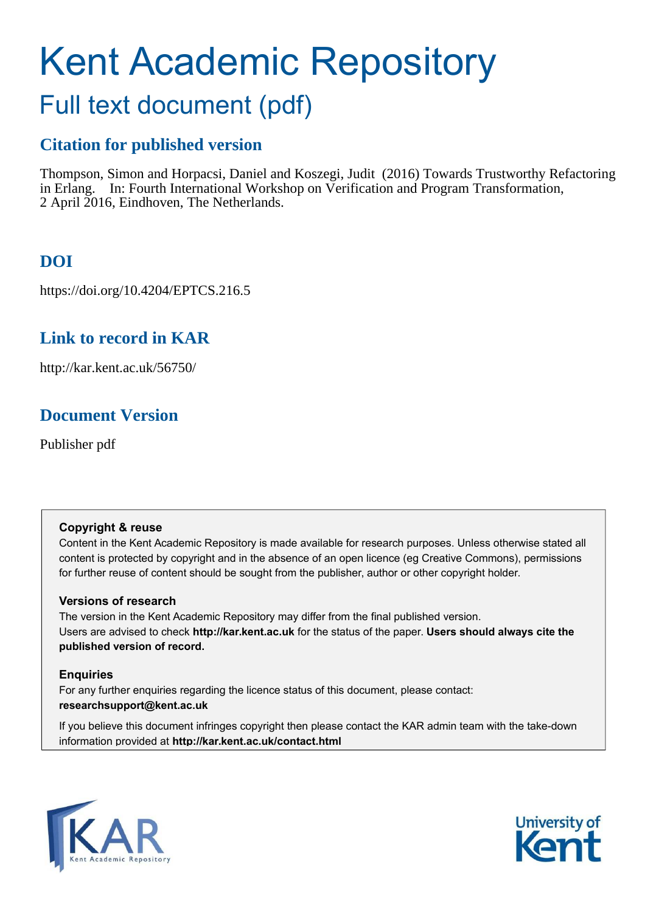# Kent Academic Repository Full text document (pdf)

# **Citation for published version**

Thompson, Simon and Horpacsi, Daniel and Koszegi, Judit (2016) Towards Trustworthy Refactoring in Erlang. In: Fourth International Workshop on Verification and Program Transformation, 2 April 2016, Eindhoven, The Netherlands.

# **DOI**

https://doi.org/10.4204/EPTCS.216.5

# **Link to record in KAR**

http://kar.kent.ac.uk/56750/

# **Document Version**

Publisher pdf

## **Copyright & reuse**

Content in the Kent Academic Repository is made available for research purposes. Unless otherwise stated all content is protected by copyright and in the absence of an open licence (eg Creative Commons), permissions for further reuse of content should be sought from the publisher, author or other copyright holder.

## **Versions of research**

The version in the Kent Academic Repository may differ from the final published version. Users are advised to check **http://kar.kent.ac.uk** for the status of the paper. **Users should always cite the published version of record.**

# **Enquiries**

For any further enquiries regarding the licence status of this document, please contact: **researchsupport@kent.ac.uk**

If you believe this document infringes copyright then please contact the KAR admin team with the take-down information provided at **http://kar.kent.ac.uk/contact.html**



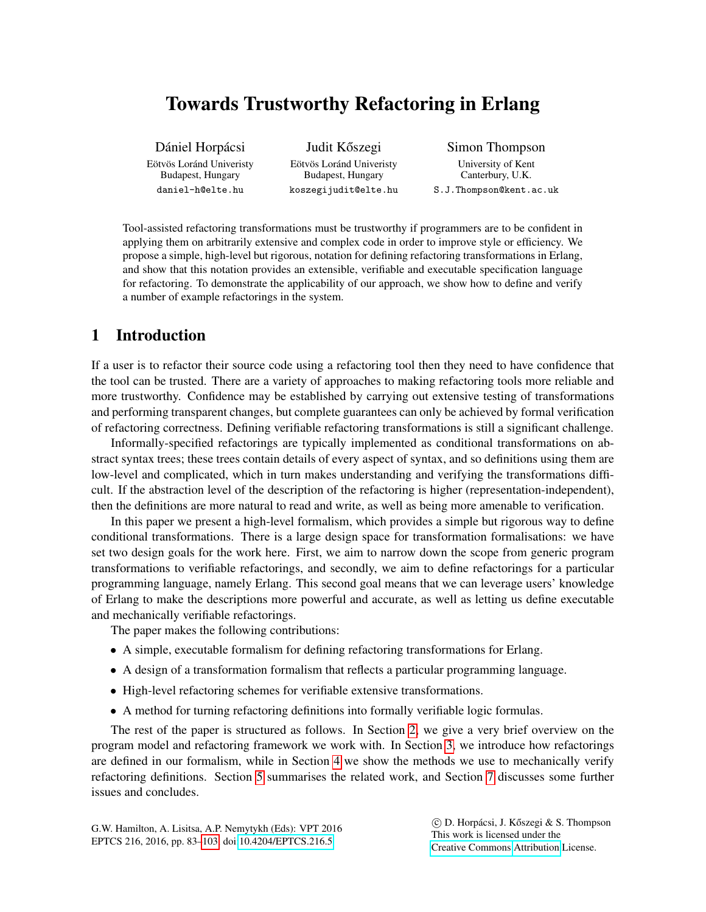# <span id="page-1-0"></span>Towards Trustworthy Refactoring in Erlang

Dániel Horpácsi Eötvös Loránd Univeristy Budapest, Hungary daniel-h@elte.hu

Judit Kőszegi Eötvös Loránd Univeristy Budapest, Hungary koszegijudit@elte.hu

Simon Thompson University of Kent Canterbury, U.K. S.J.Thompson@kent.ac.uk

Tool-assisted refactoring transformations must be trustworthy if programmers are to be confident in applying them on arbitrarily extensive and complex code in order to improve style or efficiency. We propose a simple, high-level but rigorous, notation for defining refactoring transformations in Erlang, and show that this notation provides an extensible, verifiable and executable specification language for refactoring. To demonstrate the applicability of our approach, we show how to define and verify a number of example refactorings in the system.

# 1 Introduction

If a user is to refactor their source code using a refactoring tool then they need to have confidence that the tool can be trusted. There are a variety of approaches to making refactoring tools more reliable and more trustworthy. Confidence may be established by carrying out extensive testing of transformations and performing transparent changes, but complete guarantees can only be achieved by formal verification of refactoring correctness. Defining verifiable refactoring transformations is still a significant challenge.

Informally-specified refactorings are typically implemented as conditional transformations on abstract syntax trees; these trees contain details of every aspect of syntax, and so definitions using them are low-level and complicated, which in turn makes understanding and verifying the transformations difficult. If the abstraction level of the description of the refactoring is higher (representation-independent), then the definitions are more natural to read and write, as well as being more amenable to verification.

In this paper we present a high-level formalism, which provides a simple but rigorous way to define conditional transformations. There is a large design space for transformation formalisations: we have set two design goals for the work here. First, we aim to narrow down the scope from generic program transformations to verifiable refactorings, and secondly, we aim to define refactorings for a particular programming language, namely Erlang. This second goal means that we can leverage users' knowledge of Erlang to make the descriptions more powerful and accurate, as well as letting us define executable and mechanically verifiable refactorings.

The paper makes the following contributions:

- A simple, executable formalism for defining refactoring transformations for Erlang.
- <span id="page-1-1"></span>• A design of a transformation formalism that reflects a particular programming language.
- High-level refactoring schemes for verifiable extensive transformations.
- A method for turning refactoring definitions into formally verifiable logic formulas.

The rest of the paper is structured as follows. In Section [2,](#page-1-0) we give a very brief overview on the program model and refactoring framework we work with. In Section [3,](#page-1-1) we introduce how refactorings are defined in our formalism, while in Section [4](#page-12-0) we show the methods we use to mechanically verify refactoring definitions. Section [5](#page-18-0) summarises the related work, and Section [7](#page-19-0) discusses some further issues and concludes.

 $\circled{c}$  D. Horpácsi, J. Kőszegi & S. Thompson This work is licensed under the [Creative Commons](http://creativecommons.org) [Attribution](http://creativecommons.org/licenses/by/3.0/) License.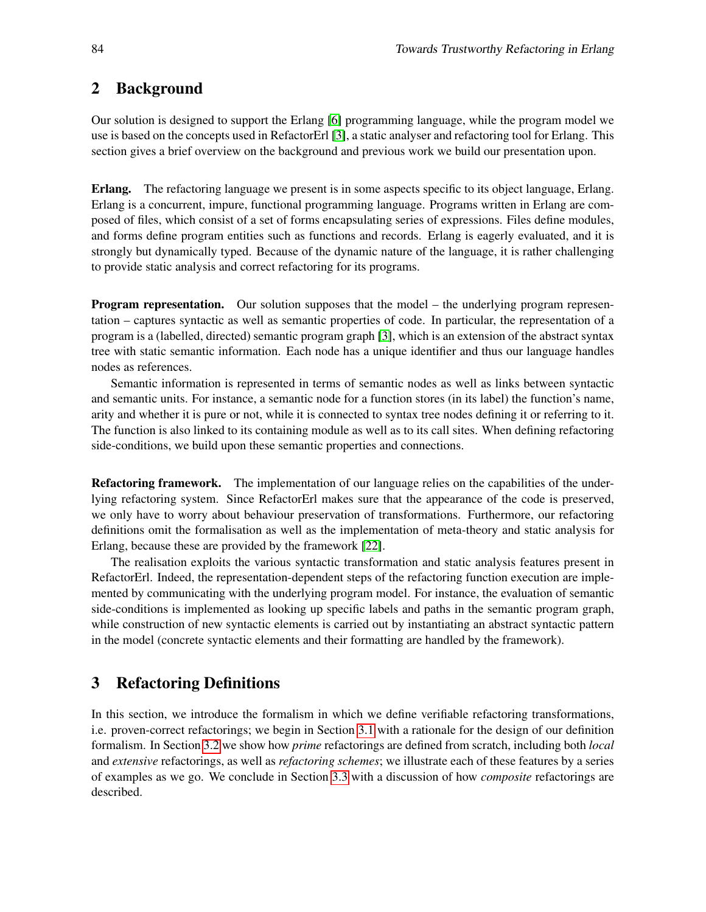# <span id="page-2-0"></span>2 Background

Our solution is designed to support the Erlang [\[6\]](#page-20-1) programming language, while the program model we use is based on the concepts used in RefactorErl [\[3\]](#page-19-1), a static analyser and refactoring tool for Erlang. This section gives a brief overview on the background and previous work we build our presentation upon.

Erlang. The refactoring language we present is in some aspects specific to its object language, Erlang. Erlang is a concurrent, impure, functional programming language. Programs written in Erlang are composed of files, which consist of a set of forms encapsulating series of expressions. Files define modules, and forms define program entities such as functions and records. Erlang is eagerly evaluated, and it is strongly but dynamically typed. Because of the dynamic nature of the language, it is rather challenging to provide static analysis and correct refactoring for its programs.

**Program representation.** Our solution supposes that the model – the underlying program representation – captures syntactic as well as semantic properties of code. In particular, the representation of a program is a (labelled, directed) semantic program graph [\[3\]](#page-19-1), which is an extension of the abstract syntax tree with static semantic information. Each node has a unique identifier and thus our language handles nodes as references.

Semantic information is represented in terms of semantic nodes as well as links between syntactic and semantic units. For instance, a semantic node for a function stores (in its label) the function's name, arity and whether it is pure or not, while it is connected to syntax tree nodes defining it or referring to it. The function is also linked to its containing module as well as to its call sites. When defining refactoring side-conditions, we build upon these semantic properties and connections.

Refactoring framework. The implementation of our language relies on the capabilities of the underlying refactoring system. Since RefactorErl makes sure that the appearance of the code is preserved, we only have to worry about behaviour preservation of transformations. Furthermore, our refactoring definitions omit the formalisation as well as the implementation of meta-theory and static analysis for Erlang, because these are provided by the framework [\[22\]](#page-20-2).

The realisation exploits the various syntactic transformation and static analysis features present in RefactorErl. Indeed, the representation-dependent steps of the refactoring function execution are implemented by communicating with the underlying program model. For instance, the evaluation of semantic side-conditions is implemented as looking up specific labels and paths in the semantic program graph, while construction of new syntactic elements is carried out by instantiating an abstract syntactic pattern in the model (concrete syntactic elements and their formatting are handled by the framework).

# 3 Refactoring Definitions

In this section, we introduce the formalism in which we define verifiable refactoring transformations, i.e. proven-correct refactorings; we begin in Section [3.1](#page-2-0) with a rationale for the design of our definition formalism. In Section [3.2](#page-4-0) we show how *prime* refactorings are defined from scratch, including both *local* and *extensive* refactorings, as well as *refactoring schemes*; we illustrate each of these features by a series of examples as we go. We conclude in Section [3.3](#page-10-0) with a discussion of how *composite* refactorings are described.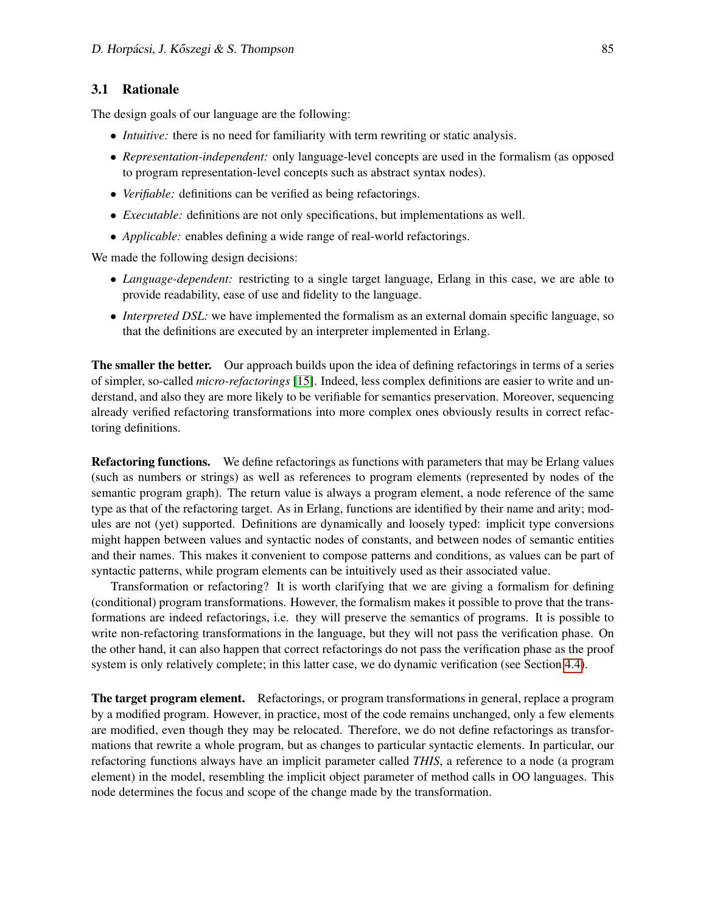#### 3.1 Rationale

The design goals of our language are the following:

- *Intuitive:* there is no need for familiarity with term rewriting or static analysis.
- *Representation-independent:* only language-level concepts are used in the formalism (as opposed to program representation-level concepts such as abstract syntax nodes).
- *Verifiable:* definitions can be verified as being refactorings.
- *Executable:* definitions are not only specifications, but implementations as well.
- *Applicable:* enables defining a wide range of real-world refactorings.

We made the following design decisions:

- *Language-dependent:* restricting to a single target language, Erlang in this case, we are able to provide readability, ease of use and fidelity to the language.
- *Interpreted DSL:* we have implemented the formalism as an external domain specific language, so that the definitions are executed by an interpreter implemented in Erlang.

The smaller the better. Our approach builds upon the idea of defining refactorings in terms of a series of simpler, so-called *micro-refactorings* [\[15\]](#page-20-3). Indeed, less complex definitions are easier to write and understand, and also they are more likely to be verifiable for semantics preservation. Moreover, sequencing already verified refactoring transformations into more complex ones obviously results in correct refactoring definitions.

Refactoring functions. We define refactorings as functions with parameters that may be Erlang values (such as numbers or strings) as well as references to program elements (represented by nodes of the semantic program graph). The return value is always a program element, a node reference of the same type as that of the refactoring target. As in Erlang, functions are identified by their name and arity; modules are not (yet) supported. Definitions are dynamically and loosely typed: implicit type conversions might happen between values and syntactic nodes of constants, and between nodes of semantic entities and their names. This makes it convenient to compose patterns and conditions, as values can be part of syntactic patterns, while program elements can be intuitively used as their associated value.

<span id="page-3-0"></span>Transformation or refactoring? It is worth clarifying that we are giving a formalism for defining (conditional) program transformations. However, the formalism makes it possible to prove that the transformations are indeed refactorings, i.e. they will preserve the semantics of programs. It is possible to write non-refactoring transformations in the language, but they will not pass the verification phase. On the other hand, it can also happen that correct refactorings do not pass the verification phase as the proof system is only relatively complete; in this latter case, we do dynamic verification (see Section [4.4\)](#page-17-0).

The target program element. Refactorings, or program transformations in general, replace a program by a modified program. However, in practice, most of the code remains unchanged, only a few elements are modified, even though they may be relocated. Therefore, we do not define refactorings as transformations that rewrite a whole program, but as changes to particular syntactic elements. In particular, our refactoring functions always have an implicit parameter called *THIS*, a reference to a node (a program element) in the model, resembling the implicit object parameter of method calls in OO languages. This node determines the focus and scope of the change made by the transformation.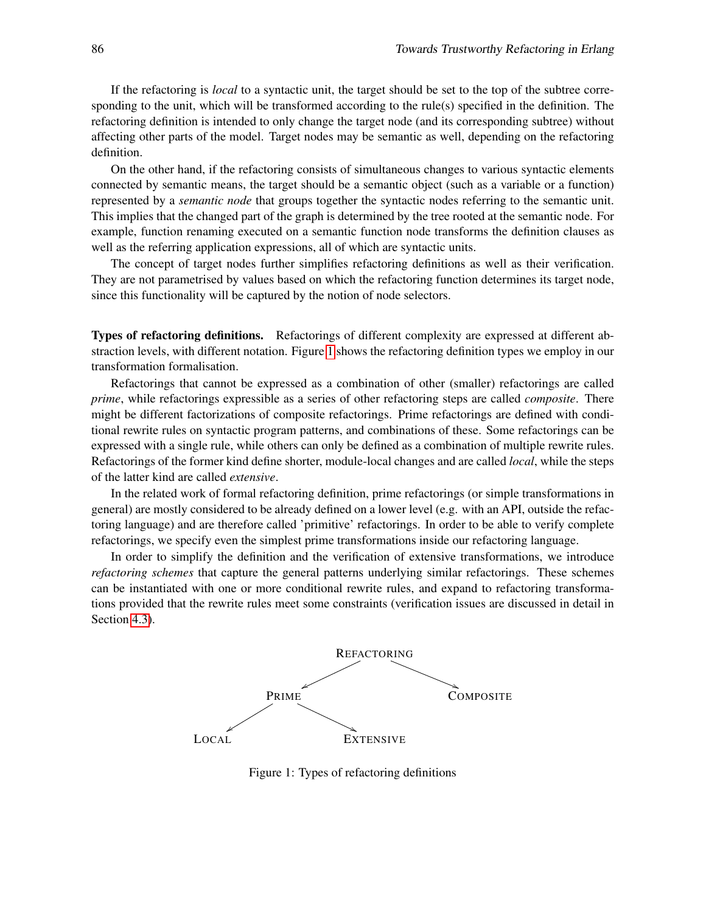<span id="page-4-2"></span><span id="page-4-0"></span>If the refactoring is *local* to a syntactic unit, the target should be set to the top of the subtree corresponding to the unit, which will be transformed according to the rule(s) specified in the definition. The refactoring definition is intended to only change the target node (and its corresponding subtree) without affecting other parts of the model. Target nodes may be semantic as well, depending on the refactoring definition.

On the other hand, if the refactoring consists of simultaneous changes to various syntactic elements connected by semantic means, the target should be a semantic object (such as a variable or a function) represented by a *semantic node* that groups together the syntactic nodes referring to the semantic unit. This implies that the changed part of the graph is determined by the tree rooted at the semantic node. For example, function renaming executed on a semantic function node transforms the definition clauses as well as the referring application expressions, all of which are syntactic units.

The concept of target nodes further simplifies refactoring definitions as well as their verification. They are not parametrised by values based on which the refactoring function determines its target node, since this functionality will be captured by the notion of node selectors.

Types of refactoring definitions. Refactorings of different complexity are expressed at different abstraction levels, with different notation. Figure [1](#page-3-0) shows the refactoring definition types we employ in our transformation formalisation.

Refactorings that cannot be expressed as a combination of other (smaller) refactorings are called *prime*, while refactorings expressible as a series of other refactoring steps are called *composite*. There might be different factorizations of composite refactorings. Prime refactorings are defined with conditional rewrite rules on syntactic program patterns, and combinations of these. Some refactorings can be expressed with a single rule, while others can only be defined as a combination of multiple rewrite rules. Refactorings of the former kind define shorter, module-local changes and are called *local*, while the steps of the latter kind are called *extensive*.

<span id="page-4-1"></span>In the related work of formal refactoring definition, prime refactorings (or simple transformations in general) are mostly considered to be already defined on a lower level (e.g. with an API, outside the refactoring language) and are therefore called 'primitive' refactorings. In order to be able to verify complete refactorings, we specify even the simplest prime transformations inside our refactoring language.

In order to simplify the definition and the verification of extensive transformations, we introduce *refactoring schemes* that capture the general patterns underlying similar refactorings. These schemes can be instantiated with one or more conditional rewrite rules, and expand to refactoring transformations provided that the rewrite rules meet some constraints (verification issues are discussed in detail in Section [4.3\)](#page-16-0).



Figure 1: Types of refactoring definitions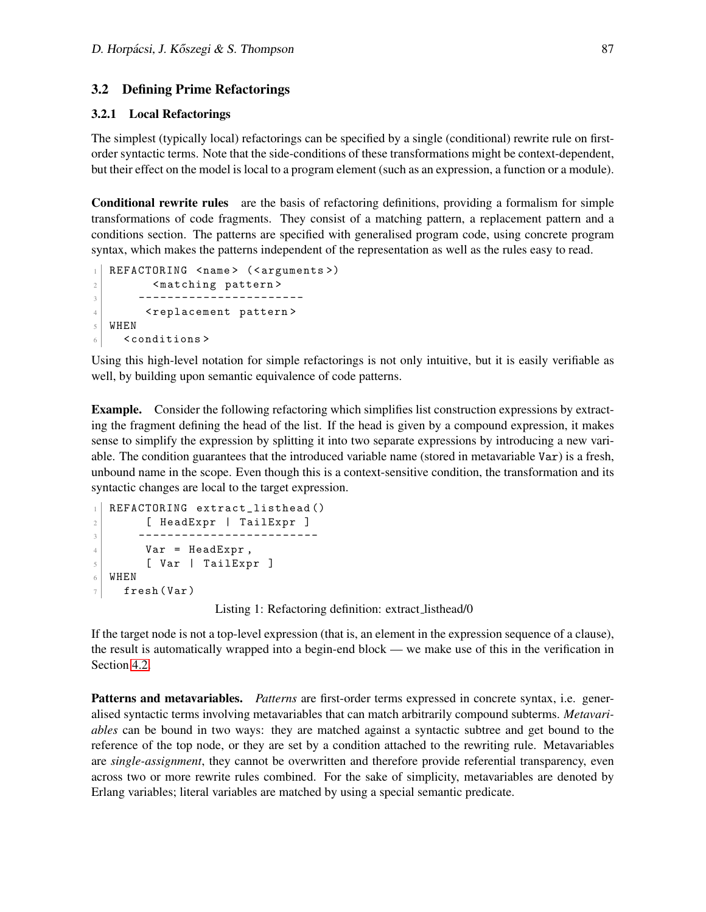#### 3.2 Defining Prime Refactorings

#### 3.2.1 Local Refactorings

The simplest (typically local) refactorings can be specified by a single (conditional) rewrite rule on firstorder syntactic terms. Note that the side-conditions of these transformations might be context-dependent, but their effect on the model is local to a program element (such as an expression, a function or a module).

Conditional rewrite rules are the basis of refactoring definitions, providing a formalism for simple transformations of code fragments. They consist of a matching pattern, a replacement pattern and a conditions section. The patterns are specified with generalised program code, using concrete program syntax, which makes the patterns independent of the representation as well as the rules easy to read.

```
REFACTORING < name > (< arguments >)
2 <matching pattern>
3 -----------------------
4 <replacement pattern>
5 WHEN
6 <conditions>
```
Using this high-level notation for simple refactorings is not only intuitive, but it is easily verifiable as well, by building upon semantic equivalence of code patterns.

Example. Consider the following refactoring which simplifies list construction expressions by extracting the fragment defining the head of the list. If the head is given by a compound expression, it makes sense to simplify the expression by splitting it into two separate expressions by introducing a new variable. The condition guarantees that the introduced variable name (stored in metavariable Var) is a fresh, unbound name in the scope. Even though this is a context-sensitive condition, the transformation and its syntactic changes are local to the target expression.

```
1 REFACTORING extract_listhead ()
2 [ HeadExpr | TailExpr ]
3 ---------------------------
4 Var = HeadExpr,
\begin{bmatrix} 5 \end{bmatrix} [ Var | TailExpr ]
6 WHEN
7 fresh (Var)
```
Listing 1: Refactoring definition: extract listhead/0

If the target node is not a top-level expression (that is, an element in the expression sequence of a clause), the result is automatically wrapped into a begin-end block — we make use of this in the verification in Section [4.2.](#page-14-0)

**Patterns and metavariables.** *Patterns* are first-order terms expressed in concrete syntax, i.e. generalised syntactic terms involving metavariables that can match arbitrarily compound subterms. *Metavariables* can be bound in two ways: they are matched against a syntactic subtree and get bound to the reference of the top node, or they are set by a condition attached to the rewriting rule. Metavariables are *single-assignment*, they cannot be overwritten and therefore provide referential transparency, even across two or more rewrite rules combined. For the sake of simplicity, metavariables are denoted by Erlang variables; literal variables are matched by using a special semantic predicate.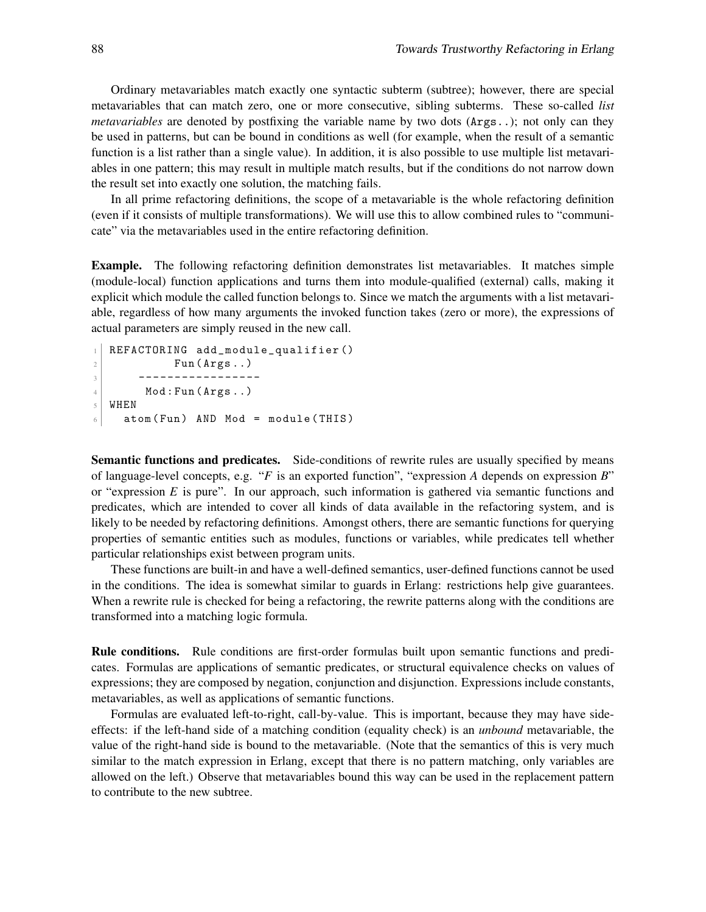Ordinary metavariables match exactly one syntactic subterm (subtree); however, there are special metavariables that can match zero, one or more consecutive, sibling subterms. These so-called *list metavariables* are denoted by postfixing the variable name by two dots (Args..); not only can they be used in patterns, but can be bound in conditions as well (for example, when the result of a semantic function is a list rather than a single value). In addition, it is also possible to use multiple list metavariables in one pattern; this may result in multiple match results, but if the conditions do not narrow down the result set into exactly one solution, the matching fails.

In all prime refactoring definitions, the scope of a metavariable is the whole refactoring definition (even if it consists of multiple transformations). We will use this to allow combined rules to "communicate" via the metavariables used in the entire refactoring definition.

Example. The following refactoring definition demonstrates list metavariables. It matches simple (module-local) function applications and turns them into module-qualified (external) calls, making it explicit which module the called function belongs to. Since we match the arguments with a list metavariable, regardless of how many arguments the invoked function takes (zero or more), the expressions of actual parameters are simply reused in the new call.

```
1 REFACTORING add_module_qualifier()
2 Fun (Args..)
3 -----------------
4 Mod: Fun (\text{Args}..)
5 WHEN
6 atom (Fun) AND Mod = module (THIS)
```
Semantic functions and predicates. Side-conditions of rewrite rules are usually specified by means of language-level concepts, e.g. "*F* is an exported function", "expression *A* depends on expression *B*" or "expression *E* is pure". In our approach, such information is gathered via semantic functions and predicates, which are intended to cover all kinds of data available in the refactoring system, and is likely to be needed by refactoring definitions. Amongst others, there are semantic functions for querying properties of semantic entities such as modules, functions or variables, while predicates tell whether particular relationships exist between program units.

These functions are built-in and have a well-defined semantics, user-defined functions cannot be used in the conditions. The idea is somewhat similar to guards in Erlang: restrictions help give guarantees. When a rewrite rule is checked for being a refactoring, the rewrite patterns along with the conditions are transformed into a matching logic formula.

Rule conditions. Rule conditions are first-order formulas built upon semantic functions and predicates. Formulas are applications of semantic predicates, or structural equivalence checks on values of expressions; they are composed by negation, conjunction and disjunction. Expressions include constants, metavariables, as well as applications of semantic functions.

Formulas are evaluated left-to-right, call-by-value. This is important, because they may have sideeffects: if the left-hand side of a matching condition (equality check) is an *unbound* metavariable, the value of the right-hand side is bound to the metavariable. (Note that the semantics of this is very much similar to the match expression in Erlang, except that there is no pattern matching, only variables are allowed on the left.) Observe that metavariables bound this way can be used in the replacement pattern to contribute to the new subtree.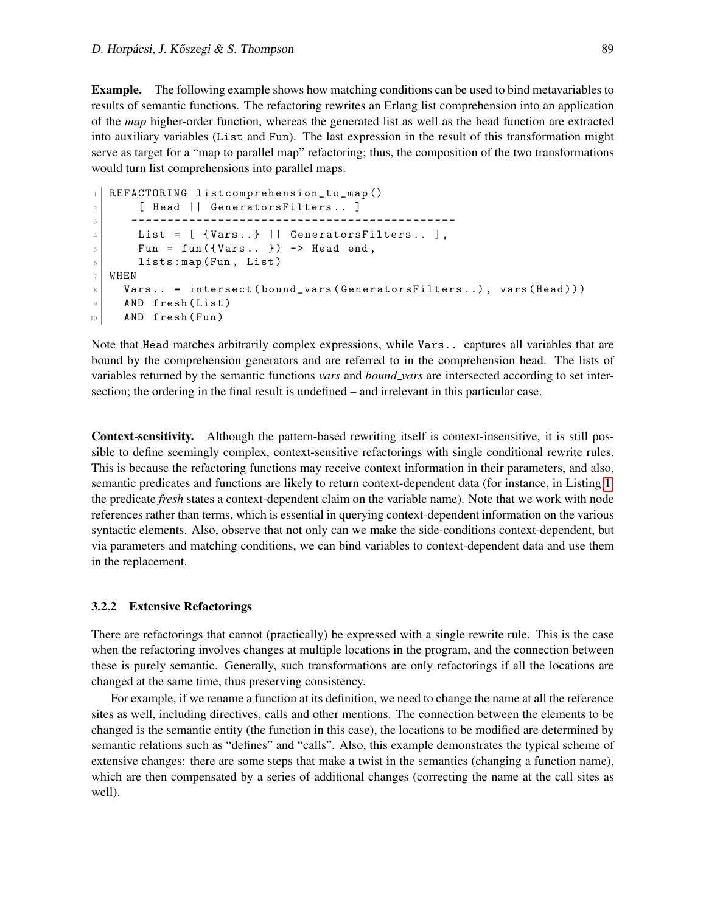Example. The following example shows how matching conditions can be used to bind metavariables to results of semantic functions. The refactoring rewrites an Erlang list comprehension into an application of the *map* higher-order function, whereas the generated list as well as the head function are extracted into auxiliary variables (List and Fun). The last expression in the result of this transformation might serve as target for a "map to parallel map" refactoring; thus, the composition of the two transformations would turn list comprehensions into parallel maps.

```
1 REFACTORING listcomprehension_to_map ()
2 [ Head || GeneratorsFilters.. ]
3 ---------------------------------------------
4 List = [ {Vars..} || GeneratorsFilters.. ],
5 Fun = fun({Vars.. }) -> Head end,
6 lists: map (Fun, List)
7 WHEN
8 Vars.. = intersect (bound_vars (GeneratorsFilters..), vars (Head)))
9 AND fresh (List)
10 AND fresh (Fun)
```
Note that Head matches arbitrarily complex expressions, while Vars.. captures all variables that are bound by the comprehension generators and are referred to in the comprehension head. The lists of variables returned by the semantic functions *vars* and *bound vars* are intersected according to set intersection; the ordering in the final result is undefined – and irrelevant in this particular case.

Context-sensitivity. Although the pattern-based rewriting itself is context-insensitive, it is still possible to define seemingly complex, context-sensitive refactorings with single conditional rewrite rules. This is because the refactoring functions may receive context information in their parameters, and also, semantic predicates and functions are likely to return context-dependent data (for instance, in Listing [1,](#page-4-1) the predicate *fresh* states a context-dependent claim on the variable name). Note that we work with node references rather than terms, which is essential in querying context-dependent information on the various syntactic elements. Also, observe that not only can we make the side-conditions context-dependent, but via parameters and matching conditions, we can bind variables to context-dependent data and use them in the replacement.

#### 3.2.2 Extensive Refactorings

There are refactorings that cannot (practically) be expressed with a single rewrite rule. This is the case when the refactoring involves changes at multiple locations in the program, and the connection between these is purely semantic. Generally, such transformations are only refactorings if all the locations are changed at the same time, thus preserving consistency.

For example, if we rename a function at its definition, we need to change the name at all the reference sites as well, including directives, calls and other mentions. The connection between the elements to be changed is the semantic entity (the function in this case), the locations to be modified are determined by semantic relations such as "defines" and "calls". Also, this example demonstrates the typical scheme of extensive changes: there are some steps that make a twist in the semantics (changing a function name), which are then compensated by a series of additional changes (correcting the name at the call sites as well).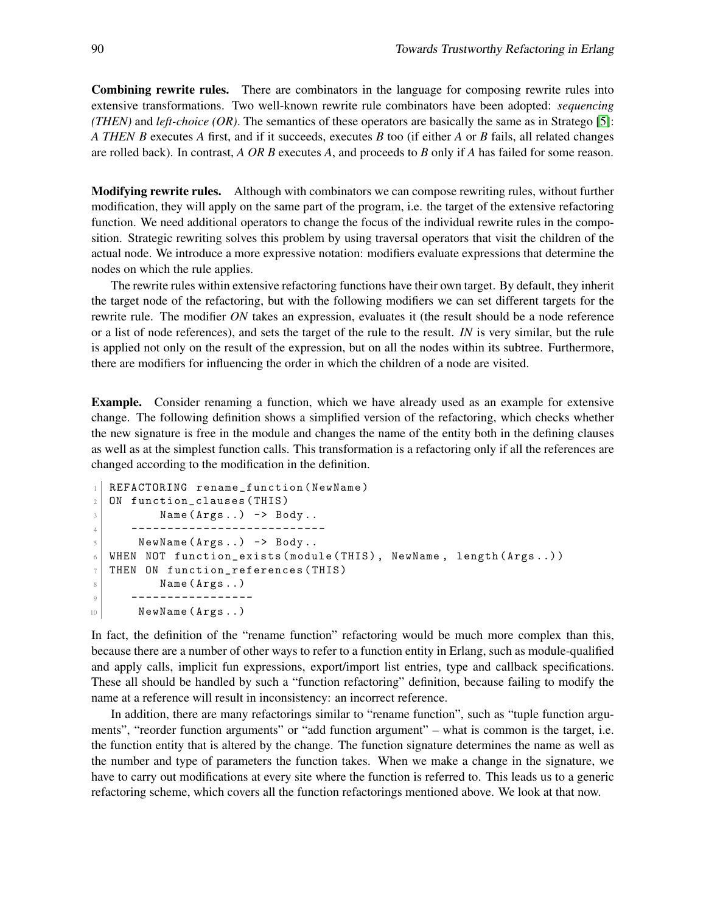<span id="page-8-0"></span>Combining rewrite rules. There are combinators in the language for composing rewrite rules into extensive transformations. Two well-known rewrite rule combinators have been adopted: *sequencing (THEN)* and *left-choice (OR)*. The semantics of these operators are basically the same as in Stratego [\[5\]](#page-19-2): *A THEN B* executes *A* first, and if it succeeds, executes *B* too (if either *A* or *B* fails, all related changes are rolled back). In contrast, *A OR B* executes *A*, and proceeds to *B* only if *A* has failed for some reason.

**Modifying rewrite rules.** Although with combinators we can compose rewriting rules, without further modification, they will apply on the same part of the program, i.e. the target of the extensive refactoring function. We need additional operators to change the focus of the individual rewrite rules in the composition. Strategic rewriting solves this problem by using traversal operators that visit the children of the actual node. We introduce a more expressive notation: modifiers evaluate expressions that determine the nodes on which the rule applies.

The rewrite rules within extensive refactoring functions have their own target. By default, they inherit the target node of the refactoring, but with the following modifiers we can set different targets for the rewrite rule. The modifier *ON* takes an expression, evaluates it (the result should be a node reference or a list of node references), and sets the target of the rule to the result. *IN* is very similar, but the rule is applied not only on the result of the expression, but on all the nodes within its subtree. Furthermore, there are modifiers for influencing the order in which the children of a node are visited.

Example. Consider renaming a function, which we have already used as an example for extensive change. The following definition shows a simplified version of the refactoring, which checks whether the new signature is free in the module and changes the name of the entity both in the defining clauses as well as at the simplest function calls. This transformation is a refactoring only if all the references are changed according to the modification in the definition.

```
1 REFACTORING rename_function (NewName)
2 ON function_clauses (THIS)
3 \mid Name (Args..) \rightarrow Body..
4 ---------------------------
5 NewName (\text{Arg } \ldots) \rightarrow \text{Body } \ldots6 WHEN NOT function_exists (module (THIS), NewName, length (Args..))
7 THEN ON function_references ( THIS )
8 Name (Args..)
9 -----------------
10 NewName (Args..)
```
In fact, the definition of the "rename function" refactoring would be much more complex than this, because there are a number of other ways to refer to a function entity in Erlang, such as module-qualified and apply calls, implicit fun expressions, export/import list entries, type and callback specifications. These all should be handled by such a "function refactoring" definition, because failing to modify the name at a reference will result in inconsistency: an incorrect reference.

In addition, there are many refactorings similar to "rename function", such as "tuple function arguments", "reorder function arguments" or "add function argument" – what is common is the target, i.e. the function entity that is altered by the change. The function signature determines the name as well as the number and type of parameters the function takes. When we make a change in the signature, we have to carry out modifications at every site where the function is referred to. This leads us to a generic refactoring scheme, which covers all the function refactorings mentioned above. We look at that now.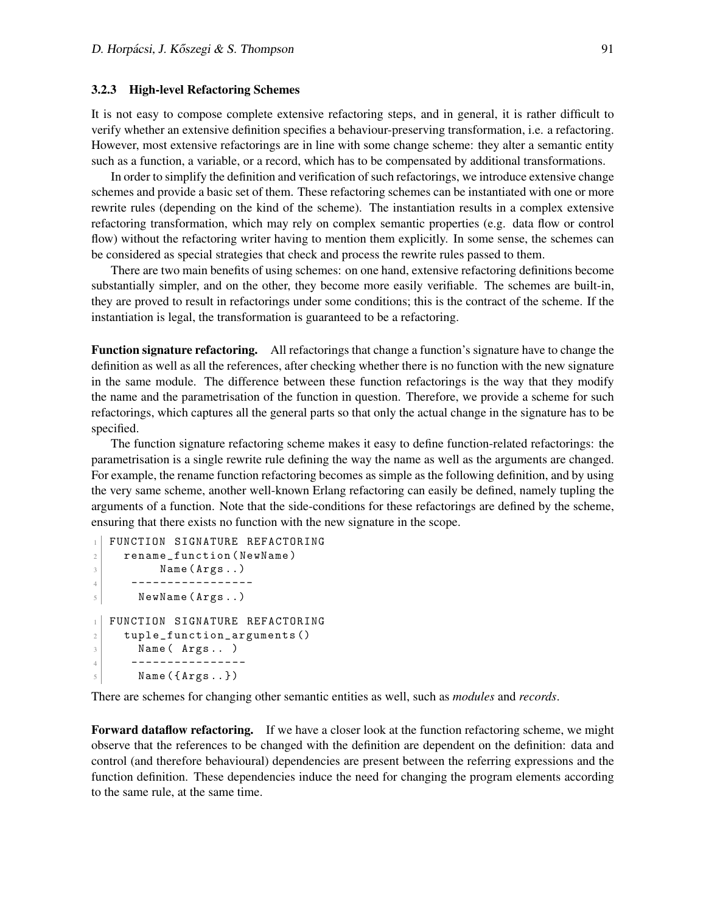#### 3.2.3 High-level Refactoring Schemes

It is not easy to compose complete extensive refactoring steps, and in general, it is rather difficult to verify whether an extensive definition specifies a behaviour-preserving transformation, i.e. a refactoring. However, most extensive refactorings are in line with some change scheme: they alter a semantic entity such as a function, a variable, or a record, which has to be compensated by additional transformations.

In order to simplify the definition and verification of such refactorings, we introduce extensive change schemes and provide a basic set of them. These refactoring schemes can be instantiated with one or more rewrite rules (depending on the kind of the scheme). The instantiation results in a complex extensive refactoring transformation, which may rely on complex semantic properties (e.g. data flow or control flow) without the refactoring writer having to mention them explicitly. In some sense, the schemes can be considered as special strategies that check and process the rewrite rules passed to them.

There are two main benefits of using schemes: on one hand, extensive refactoring definitions become substantially simpler, and on the other, they become more easily verifiable. The schemes are built-in, they are proved to result in refactorings under some conditions; this is the contract of the scheme. If the instantiation is legal, the transformation is guaranteed to be a refactoring.

Function signature refactoring. All refactorings that change a function's signature have to change the definition as well as all the references, after checking whether there is no function with the new signature in the same module. The difference between these function refactorings is the way that they modify the name and the parametrisation of the function in question. Therefore, we provide a scheme for such refactorings, which captures all the general parts so that only the actual change in the signature has to be specified.

The function signature refactoring scheme makes it easy to define function-related refactorings: the parametrisation is a single rewrite rule defining the way the name as well as the arguments are changed. For example, the rename function refactoring becomes as simple as the following definition, and by using the very same scheme, another well-known Erlang refactoring can easily be defined, namely tupling the arguments of a function. Note that the side-conditions for these refactorings are defined by the scheme, ensuring that there exists no function with the new signature in the scope.

```
FUNCTION SIGNATURE REFACTORING
2 rename_function (NewName)
3 Name (Args..)
4 -----------------
5 NewName (Args..)
1 FUNCTION SIGNATURE REFACTORING
2 tuple_function_arguments ()
3 Name (\text{Args} \dots)
4 ----------------
5 Name (\{Args.. \})
```
There are schemes for changing other semantic entities as well, such as *modules* and *records*.

Forward dataflow refactoring. If we have a closer look at the function refactoring scheme, we might observe that the references to be changed with the definition are dependent on the definition: data and control (and therefore behavioural) dependencies are present between the referring expressions and the function definition. These dependencies induce the need for changing the program elements according to the same rule, at the same time.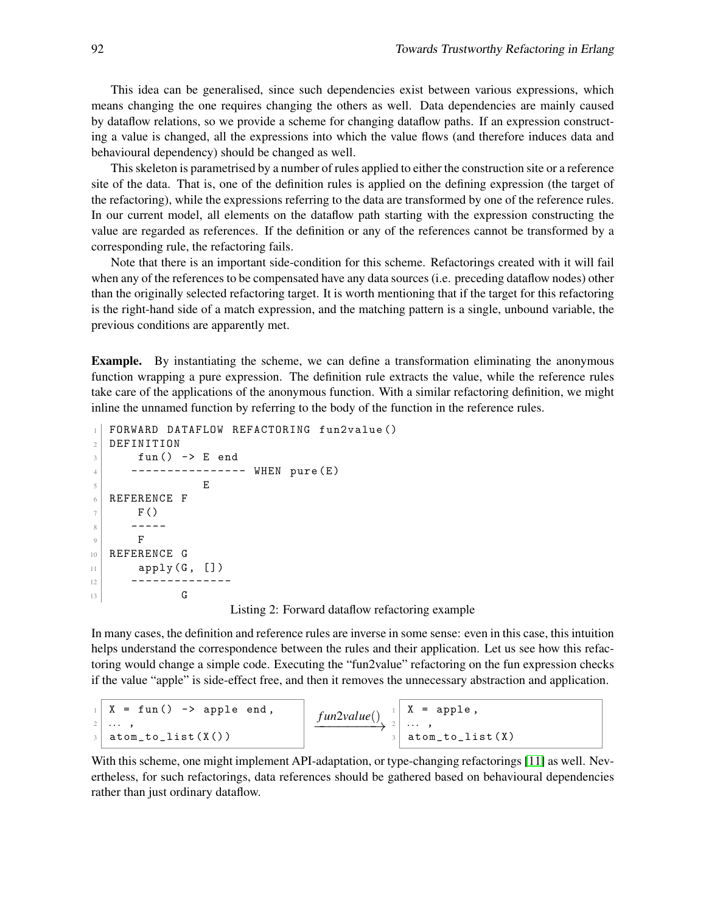This idea can be generalised, since such dependencies exist between various expressions, which means changing the one requires changing the others as well. Data dependencies are mainly caused by dataflow relations, so we provide a scheme for changing dataflow paths. If an expression constructing a value is changed, all the expressions into which the value flows (and therefore induces data and behavioural dependency) should be changed as well.

This skeleton is parametrised by a number of rules applied to either the construction site or a reference site of the data. That is, one of the definition rules is applied on the defining expression (the target of the refactoring), while the expressions referring to the data are transformed by one of the reference rules. In our current model, all elements on the dataflow path starting with the expression constructing the value are regarded as references. If the definition or any of the references cannot be transformed by a corresponding rule, the refactoring fails.

Note that there is an important side-condition for this scheme. Refactorings created with it will fail when any of the references to be compensated have any data sources (i.e. preceding dataflow nodes) other than the originally selected refactoring target. It is worth mentioning that if the target for this refactoring is the right-hand side of a match expression, and the matching pattern is a single, unbound variable, the previous conditions are apparently met.

Example. By instantiating the scheme, we can define a transformation eliminating the anonymous function wrapping a pure expression. The definition rule extracts the value, while the reference rules take care of the applications of the anonymous function. With a similar refactoring definition, we might inline the unnamed function by referring to the body of the function in the reference rules.

```
1 FORWARD DATAFLOW REFACTORING fun2value ()
2 DEFINITION
3 \mid fun() -> E end
4 | --------------- WHEN pure (E)\overline{\phantom{a}} 5 E
6 REFERENCE F
7 F()
8 -----
9 F
10 REFERENCE G
11 apply (G, [])12 -------------
\begin{array}{c|c}\n 13 & \text{G}\n \end{array}
```
Listing 2: Forward dataflow refactoring example

<span id="page-10-0"></span>In many cases, the definition and reference rules are inverse in some sense: even in this case, this intuition helps understand the correspondence between the rules and their application. Let us see how this refactoring would change a simple code. Executing the "fun2value" refactoring on the fun expression checks if the value "apple" is side-effect free, and then it removes the unnecessary abstraction and application.

<sup>1</sup> X = fun () -> apple end , <sup>2</sup> ... , <sup>3</sup> atom\_to\_list ( X () ) *f un*2*value*() −−−−−−−→ <sup>1</sup> X = apple , <sup>2</sup> ... , <sup>3</sup> atom\_to\_list ( X )

With this scheme, one might implement API-adaptation, or type-changing refactorings [\[11\]](#page-20-4) as well. Nevertheless, for such refactorings, data references should be gathered based on behavioural dependencies rather than just ordinary dataflow.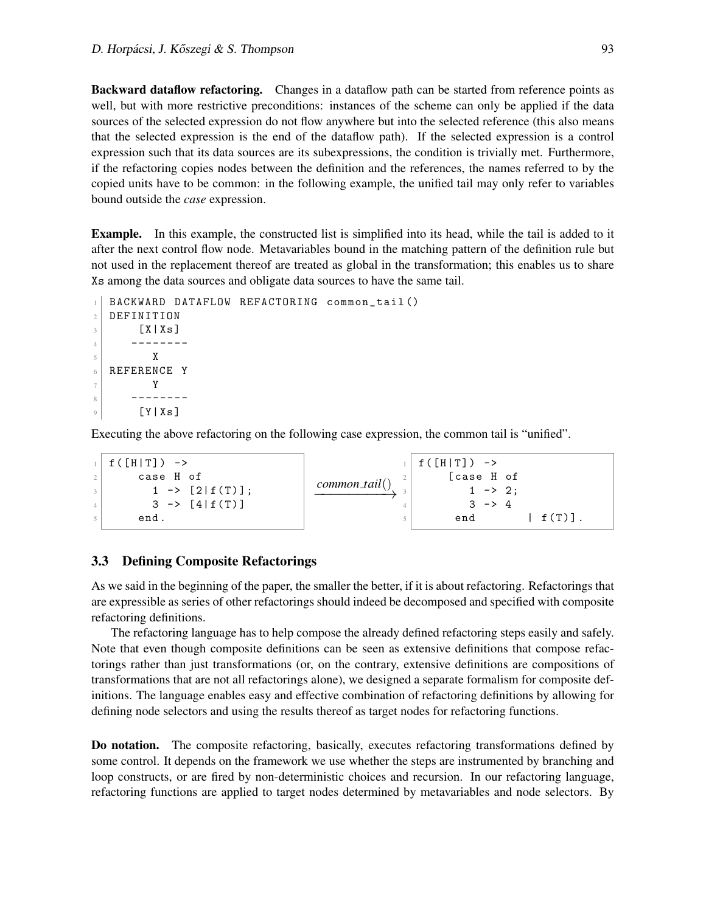Backward dataflow refactoring. Changes in a dataflow path can be started from reference points as well, but with more restrictive preconditions: instances of the scheme can only be applied if the data sources of the selected expression do not flow anywhere but into the selected reference (this also means that the selected expression is the end of the dataflow path). If the selected expression is a control expression such that its data sources are its subexpressions, the condition is trivially met. Furthermore, if the refactoring copies nodes between the definition and the references, the names referred to by the copied units have to be common: in the following example, the unified tail may only refer to variables bound outside the *case* expression.

Example. In this example, the constructed list is simplified into its head, while the tail is added to it after the next control flow node. Metavariables bound in the matching pattern of the definition rule but not used in the replacement thereof are treated as global in the transformation; this enables us to share Xs among the data sources and obligate data sources to have the same tail.

```
1 BACKWARD DATAFLOW REFACTORING common_tail()
2 DEFINITION
3 [ X | X s ]
4 --------
\overline{5} X
6 REFERENCE Y
7 Y
8 --------
9 [ Y | Xs]
```
Executing the above refactoring on the following case expression, the common tail is "unified".

|                | $f([H T]) \rightarrow$    |                  | $f([H T])$ ->     |
|----------------|---------------------------|------------------|-------------------|
|                | case H of                 |                  | [case H of        |
| $\overline{3}$ | $1 \rightarrow [2 f(T)];$ | $common\_tail()$ | $1 - > 2$ ;       |
|                | $3 \rightarrow [4]f(T)$ ] |                  | $3 \rightarrow 4$ |
|                | end.                      |                  | $f(T)$ .<br>end   |

#### 3.3 Defining Composite Refactorings

As we said in the beginning of the paper, the smaller the better, if it is about refactoring. Refactorings that are expressible as series of other refactorings should indeed be decomposed and specified with composite refactoring definitions.

The refactoring language has to help compose the already defined refactoring steps easily and safely. Note that even though composite definitions can be seen as extensive definitions that compose refactorings rather than just transformations (or, on the contrary, extensive definitions are compositions of transformations that are not all refactorings alone), we designed a separate formalism for composite definitions. The language enables easy and effective combination of refactoring definitions by allowing for defining node selectors and using the results thereof as target nodes for refactoring functions.

Do notation. The composite refactoring, basically, executes refactoring transformations defined by some control. It depends on the framework we use whether the steps are instrumented by branching and loop constructs, or are fired by non-deterministic choices and recursion. In our refactoring language, refactoring functions are applied to target nodes determined by metavariables and node selectors. By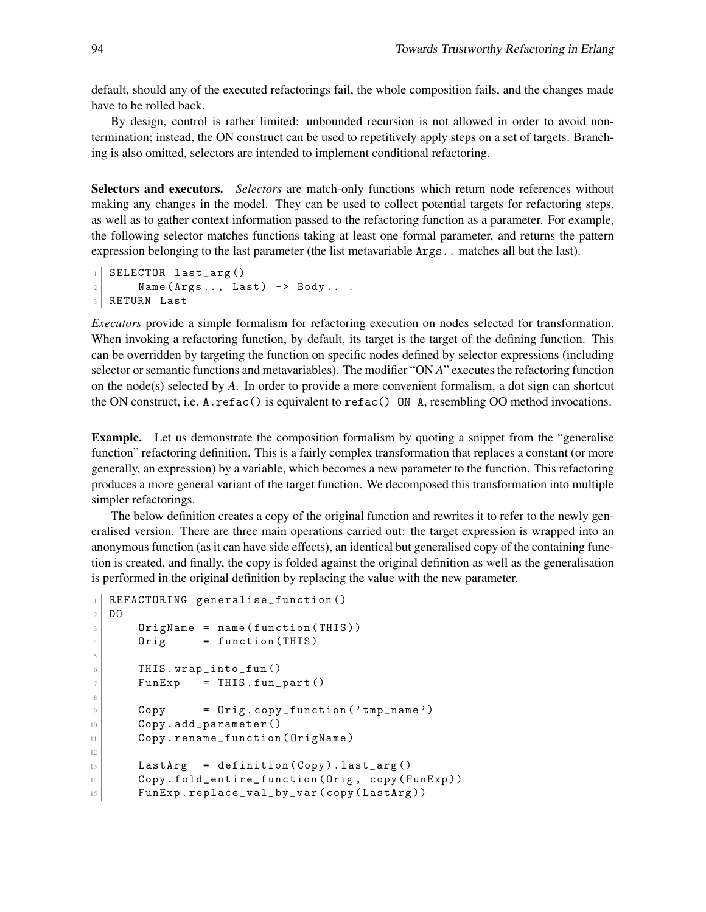default, should any of the executed refactorings fail, the whole composition fails, and the changes made have to be rolled back.

By design, control is rather limited: unbounded recursion is not allowed in order to avoid nontermination; instead, the ON construct can be used to repetitively apply steps on a set of targets. Branching is also omitted, selectors are intended to implement conditional refactoring.

Selectors and executors. *Selectors* are match-only functions which return node references without making any changes in the model. They can be used to collect potential targets for refactoring steps, as well as to gather context information passed to the refactoring function as a parameter. For example, the following selector matches functions taking at least one formal parameter, and returns the pattern expression belonging to the last parameter (the list metavariable Args.. matches all but the last).

```
SELECTOR last_arg()
2 Name (Args.., Last) \rightarrow Body...
3 RETURN Last
```
*Executors* provide a simple formalism for refactoring execution on nodes selected for transformation. When invoking a refactoring function, by default, its target is the target of the defining function. This can be overridden by targeting the function on specific nodes defined by selector expressions (including selector or semantic functions and metavariables). The modifier "ON *A*" executes the refactoring function on the node(s) selected by *A*. In order to provide a more convenient formalism, a dot sign can shortcut the ON construct, i.e. A.refac() is equivalent to refac() ON A, resembling OO method invocations.

Example. Let us demonstrate the composition formalism by quoting a snippet from the "generalise function" refactoring definition. This is a fairly complex transformation that replaces a constant (or more generally, an expression) by a variable, which becomes a new parameter to the function. This refactoring produces a more general variant of the target function. We decomposed this transformation into multiple simpler refactorings.

The below definition creates a copy of the original function and rewrites it to refer to the newly generalised version. There are three main operations carried out: the target expression is wrapped into an anonymous function (as it can have side effects), an identical but generalised copy of the containing function is created, and finally, the copy is folded against the original definition as well as the generalisation is performed in the original definition by replacing the value with the new parameter.

```
1 REFACTORING generalise_function ()
2 DO
3 OrigName = name (function (THIS))
4 Orig = function (THIS)
5
6 THIS.wrap_into_fun()
7 FunExp = THIS.fun_part ()
8
9 Copy = Orig . copy_function ( ' tmp_name ')
10 Copy.add_parameter()
11 Copy.rename_function (OrigName)
12
13 LastArg = definition (Copy). last_arg ()
14 Copy.fold_entire_function (Orig, copy (FunExp))
15 FunExp.replace_val_by_var (copy (LastArg))
```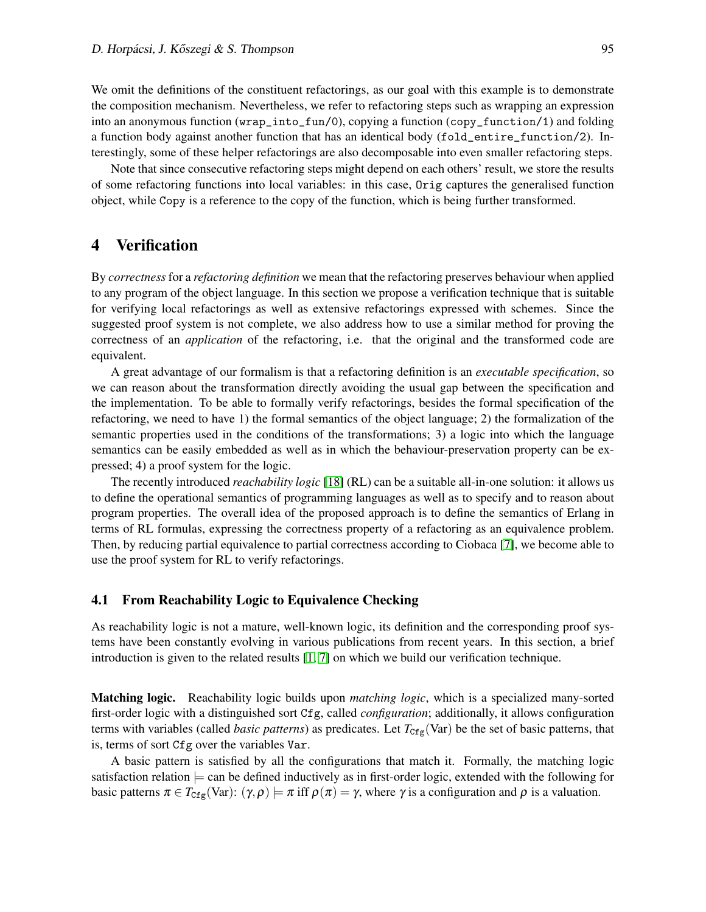We omit the definitions of the constituent refactorings, as our goal with this example is to demonstrate the composition mechanism. Nevertheless, we refer to refactoring steps such as wrapping an expression into an anonymous function (wrap\_into\_fun/0), copying a function (copy\_function/1) and folding a function body against another function that has an identical body (fold\_entire\_function/2). Interestingly, some of these helper refactorings are also decomposable into even smaller refactoring steps.

Note that since consecutive refactoring steps might depend on each others' result, we store the results of some refactoring functions into local variables: in this case, Orig captures the generalised function object, while Copy is a reference to the copy of the function, which is being further transformed.

# 4 Verification

By *correctness*for a *refactoring definition* we mean that the refactoring preserves behaviour when applied to any program of the object language. In this section we propose a verification technique that is suitable for verifying local refactorings as well as extensive refactorings expressed with schemes. Since the suggested proof system is not complete, we also address how to use a similar method for proving the correctness of an *application* of the refactoring, i.e. that the original and the transformed code are equivalent.

A great advantage of our formalism is that a refactoring definition is an *executable specification*, so we can reason about the transformation directly avoiding the usual gap between the specification and the implementation. To be able to formally verify refactorings, besides the formal specification of the refactoring, we need to have 1) the formal semantics of the object language; 2) the formalization of the semantic properties used in the conditions of the transformations; 3) a logic into which the language semantics can be easily embedded as well as in which the behaviour-preservation property can be expressed; 4) a proof system for the logic.

The recently introduced *reachability logic* [\[18\]](#page-20-5) (RL) can be a suitable all-in-one solution: it allows us to define the operational semantics of programming languages as well as to specify and to reason about program properties. The overall idea of the proposed approach is to define the semantics of Erlang in terms of RL formulas, expressing the correctness property of a refactoring as an equivalence problem. Then, by reducing partial equivalence to partial correctness according to Ciobaca [\[7\]](#page-20-6), we become able to use the proof system for RL to verify refactorings.

#### 4.1 From Reachability Logic to Equivalence Checking

As reachability logic is not a mature, well-known logic, its definition and the corresponding proof systems have been constantly evolving in various publications from recent years. In this section, a brief introduction is given to the related results [\[1,](#page-19-3) [7\]](#page-20-6) on which we build our verification technique.

Matching logic. Reachability logic builds upon *matching logic*, which is a specialized many-sorted first-order logic with a distinguished sort Cfg, called *configuration*; additionally, it allows configuration terms with variables (called *basic patterns*) as predicates. Let  $T_{Cfg}(Var)$  be the set of basic patterns, that is, terms of sort Cfg over the variables Var.

<span id="page-13-0"></span>A basic pattern is satisfied by all the configurations that match it. Formally, the matching logic satisfaction relation  $\models$  can be defined inductively as in first-order logic, extended with the following for basic patterns  $\pi \in T_{Cf_g}(Var)$ :  $(\gamma, \rho) \models \pi$  iff  $\rho(\pi) = \gamma$ , where  $\gamma$  is a configuration and  $\rho$  is a valuation.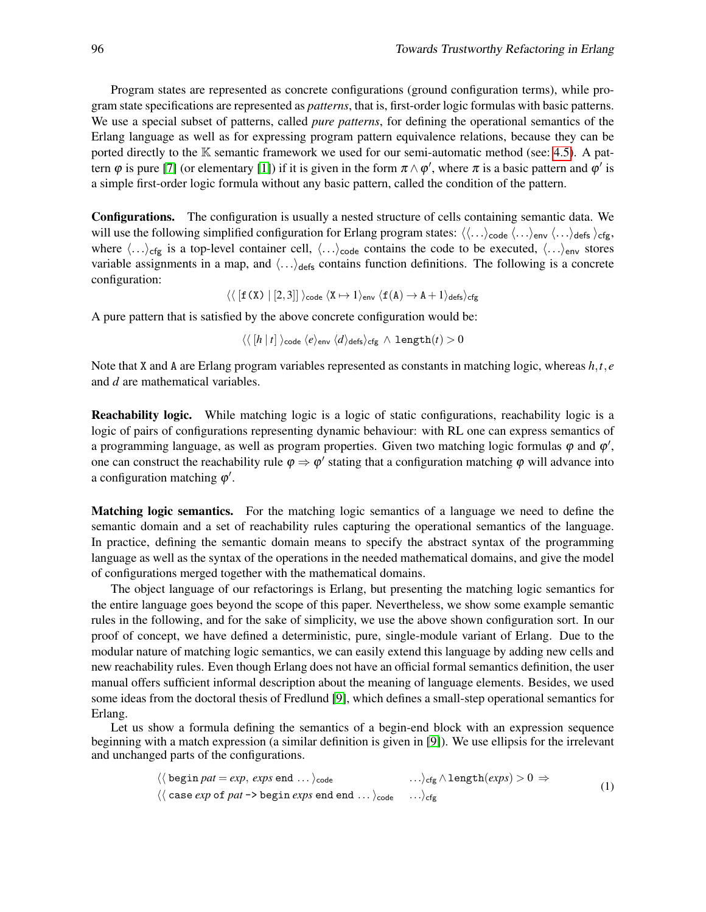Program states are represented as concrete configurations (ground configuration terms), while program state specifications are represented as *patterns*, that is, first-order logic formulas with basic patterns. We use a special subset of patterns, called *pure patterns*, for defining the operational semantics of the Erlang language as well as for expressing program pattern equivalence relations, because they can be ported directly to the  $K$  semantic framework we used for our semi-automatic method (see: [4.5\)](#page-17-1). A pattern  $\varphi$  is pure [\[7\]](#page-20-6) (or elementary [\[1\]](#page-19-3)) if it is given in the form  $\pi \wedge \varphi'$ , where  $\pi$  is a basic pattern and  $\varphi'$  is a simple first-order logic formula without any basic pattern, called the condition of the pattern.

Configurations. The configuration is usually a nested structure of cells containing semantic data. We will use the following simplified configuration for Erlang program states:  $\langle\langle...\rangle_{code} \langle...\rangle_{env} \langle...\rangle_{defs} \rangle_{cfg}$ , where  $\langle \ldots \rangle_{\text{cfg}}$  is a top-level container cell,  $\langle \ldots \rangle_{\text{code}}$  contains the code to be executed,  $\langle \ldots \rangle_{\text{env}}$  stores variable assignments in a map, and  $\langle \ldots \rangle_{\text{defs}}$  contains function definitions. The following is a concrete configuration:

<span id="page-14-1"></span>
$$
\langle\langle\,[\texttt{f}\,(\texttt{X})\mid [2,3]]\,\rangle_\textsf{code} \,\langle\texttt{X}\mapsto 1\rangle_\textsf{env}\,\langle\texttt{f}\,(\texttt{A})\rightarrow\texttt{A}+1\rangle_\textsf{defs}\rangle_\textsf{cfg}
$$

A pure pattern that is satisfied by the above concrete configuration would be:

$$
\langle\langle\, [h\,|\,t]\,\rangle_\textsf{code}\,\langle e\rangle_\textsf{env}\,\langle d\rangle_\textsf{defs}\rangle_\textsf{cfg}\,\wedge\, \texttt{length}(t)>0
$$

Note that X and A are Erlang program variables represented as constants in matching logic, whereas *h*,*t*, *e* and *d* are mathematical variables.

Reachability logic. While matching logic is a logic of static configurations, reachability logic is a logic of pairs of configurations representing dynamic behaviour: with RL one can express semantics of a programming language, as well as program properties. Given two matching logic formulas  $\varphi$  and  $\varphi'$ , one can construct the reachability rule  $\varphi \Rightarrow \varphi'$  stating that a configuration matching  $\varphi$  will advance into a configuration matching  $\varphi'$ .

Matching logic semantics. For the matching logic semantics of a language we need to define the semantic domain and a set of reachability rules capturing the operational semantics of the language. In practice, defining the semantic domain means to specify the abstract syntax of the programming language as well as the syntax of the operations in the needed mathematical domains, and give the model of configurations merged together with the mathematical domains.

The object language of our refactorings is Erlang, but presenting the matching logic semantics for the entire language goes beyond the scope of this paper. Nevertheless, we show some example semantic rules in the following, and for the sake of simplicity, we use the above shown configuration sort. In our proof of concept, we have defined a deterministic, pure, single-module variant of Erlang. Due to the modular nature of matching logic semantics, we can easily extend this language by adding new cells and new reachability rules. Even though Erlang does not have an official formal semantics definition, the user manual offers sufficient informal description about the meaning of language elements. Besides, we used some ideas from the doctoral thesis of Fredlund [\[9\]](#page-20-7), which defines a small-step operational semantics for Erlang.

<span id="page-14-0"></span>Let us show a formula defining the semantics of a begin-end block with an expression sequence beginning with a match expression (a similar definition is given in [\[9\]](#page-20-7)). We use ellipsis for the irrelevant and unchanged parts of the configurations.

$$
\langle \langle \text{begin } mat = exp, \text{ } exp \text{ } end \dots \rangle_{code} \qquad \dots \rangle_{\text{} of g} \land \text{length}(\text{ } exp \text{ } s) > 0 \Rightarrow
$$
\n
$$
\langle \langle \text{ } case \text{ } exp \text{ } of \text{ } pat \text{ } \rangle > \text{begin } exp \text{ } s \text{ } end \text{ } env \rangle_{\text{} of g} \qquad \dots \rangle_{\text{} of g} \qquad \dots \rangle_{\text{} of g} \qquad (1)
$$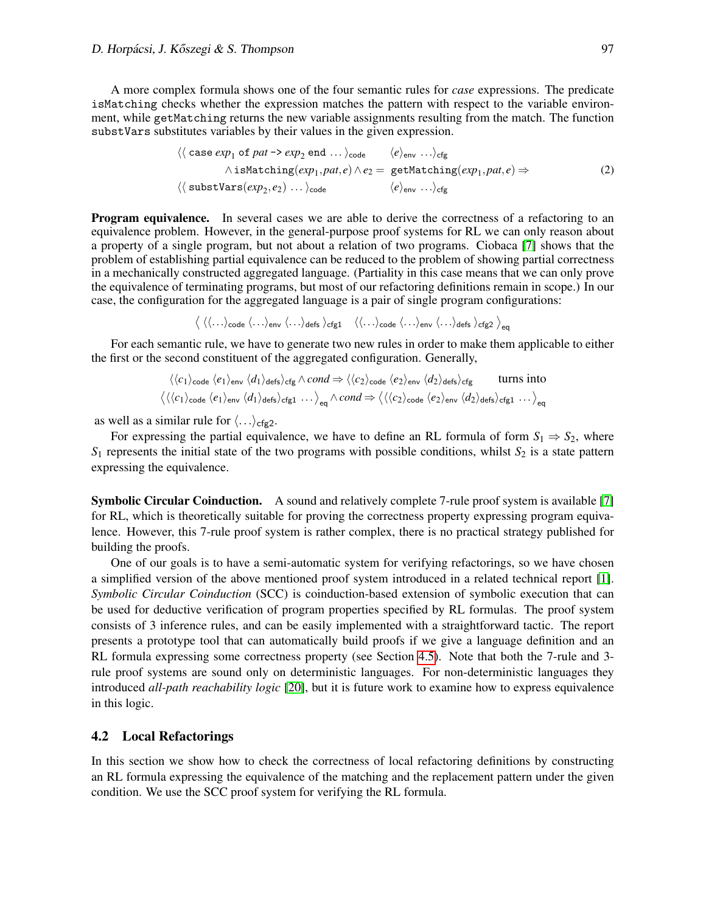A more complex formula shows one of the four semantic rules for *case* expressions. The predicate isMatching checks whether the expression matches the pattern with respect to the variable environment, while getMatching returns the new variable assignments resulting from the match. The function substVars substitutes variables by their values in the given expression.

<span id="page-15-0"></span>
$$
\langle \langle \text{case } exp_1 \text{ of } pat \rangle \text{ exp}_2 \text{ end } \dots \rangle_{\text{code}} \qquad \langle e \rangle_{\text{env}} \dots \rangle_{\text{cfg}} \\
 \wedge \text{isMatching}(exp_1, pat, e) \wedge e_2 = \text{getMatching}(exp_1, pat, e) \Rightarrow \\
 \langle \langle \text{substVars}(exp_2, e_2) \dots \rangle_{\text{code}} \qquad \langle e \rangle_{\text{env}} \dots \rangle_{\text{cfg}} \qquad (2)
$$

**Program equivalence.** In several cases we are able to derive the correctness of a refactoring to an equivalence problem. However, in the general-purpose proof systems for RL we can only reason about a property of a single program, but not about a relation of two programs. Ciobaca [\[7\]](#page-20-6) shows that the problem of establishing partial equivalence can be reduced to the problem of showing partial correctness in a mechanically constructed aggregated language. (Partiality in this case means that we can only prove the equivalence of terminating programs, but most of our refactoring definitions remain in scope.) In our case, the configuration for the aggregated language is a pair of single program configurations:

<span id="page-15-2"></span><span id="page-15-1"></span> $\big\langle\,\big\langle\langle\ldots\rangle_{\textsf{code}}\, \big\langle\ldots\rangle_{\textsf{env}}\, \big\langle\ldots\big\rangle_{\textsf{defs}}\, \big\rangle_{\textsf{cfg1}} \quad \big\langle\big\langle\ldots\big\rangle_{\textsf{code}}\, \big\langle\ldots\big\rangle_{\textsf{env}}\, \big\langle\ldots\big\rangle_{\textsf{defs}}\, \big\rangle_{\textsf{cfg2}} \,\big\rangle_{\textsf{eq}}$ 

For each semantic rule, we have to generate two new rules in order to make them applicable to either the first or the second constituent of the aggregated configuration. Generally,

$$
\langle \langle c_1 \rangle_{\text{code}} \langle e_1 \rangle_{\text{env}} \langle d_1 \rangle_{\text{defs}} \rangle_{\text{cfg}} \wedge \text{cond} \Rightarrow \langle \langle c_2 \rangle_{\text{code}} \langle e_2 \rangle_{\text{env}} \langle d_2 \rangle_{\text{defs}} \rangle_{\text{cfg}} \quad \text{turns into}
$$
\n
$$
\langle \langle \langle c_1 \rangle_{\text{code}} \langle e_1 \rangle_{\text{env}} \langle d_1 \rangle_{\text{defs}} \rangle_{\text{cfg}} \dots \rangle_{\text{eq}} \wedge \text{cond} \Rightarrow \langle \langle \langle c_2 \rangle_{\text{code}} \langle e_2 \rangle_{\text{env}} \langle d_2 \rangle_{\text{defs}} \rangle_{\text{cfg}} \dots \rangle_{\text{eq}}
$$

as well as a similar rule for  $\langle \ldots \rangle_{\text{cfg2}}$ .

For expressing the partial equivalence, we have to define an RL formula of form  $S_1 \Rightarrow S_2$ , where  $S_1$  represents the initial state of the two programs with possible conditions, whilst  $S_2$  is a state pattern expressing the equivalence.

Symbolic Circular Coinduction. A sound and relatively complete 7-rule proof system is available [\[7\]](#page-20-6) for RL, which is theoretically suitable for proving the correctness property expressing program equivalence. However, this 7-rule proof system is rather complex, there is no practical strategy published for building the proofs.

One of our goals is to have a semi-automatic system for verifying refactorings, so we have chosen a simplified version of the above mentioned proof system introduced in a related technical report [\[1\]](#page-19-3). *Symbolic Circular Coinduction* (SCC) is coinduction-based extension of symbolic execution that can be used for deductive verification of program properties specified by RL formulas. The proof system consists of 3 inference rules, and can be easily implemented with a straightforward tactic. The report presents a prototype tool that can automatically build proofs if we give a language definition and an RL formula expressing some correctness property (see Section [4.5\)](#page-17-1). Note that both the 7-rule and 3 rule proof systems are sound only on deterministic languages. For non-deterministic languages they introduced *all-path reachability logic* [\[20\]](#page-20-8), but it is future work to examine how to express equivalence in this logic.

#### 4.2 Local Refactorings

In this section we show how to check the correctness of local refactoring definitions by constructing an RL formula expressing the equivalence of the matching and the replacement pattern under the given condition. We use the SCC proof system for verifying the RL formula.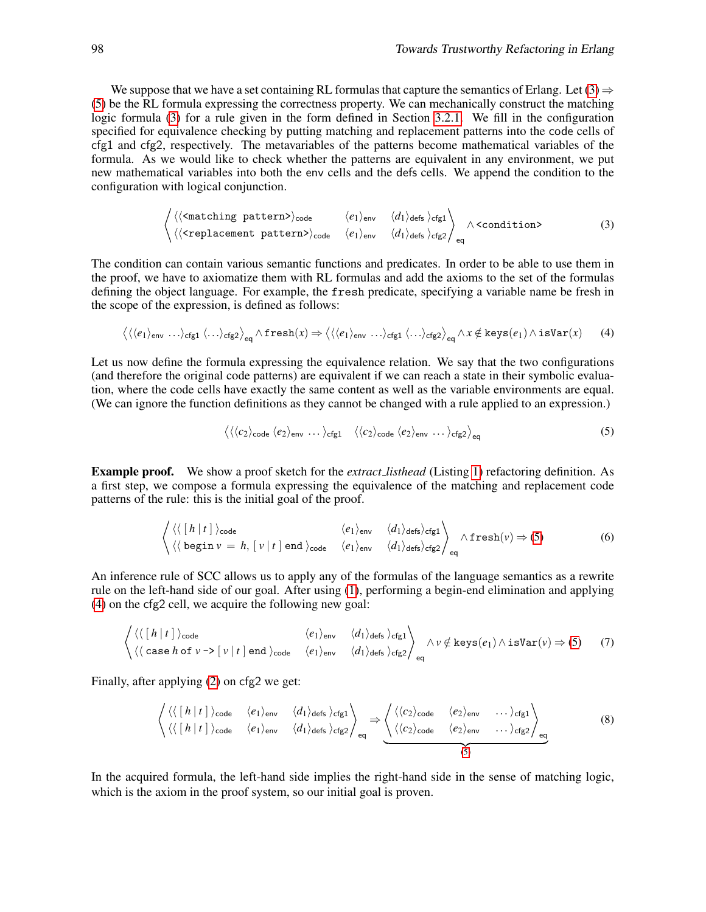<span id="page-16-0"></span>We suppose that we have a set containing RL formulas that capture the semantics of Erlang. Let  $(3) \Rightarrow$ [\(5\)](#page-15-1) be the RL formula expressing the correctness property. We can mechanically construct the matching logic formula [\(3\)](#page-15-0) for a rule given in the form defined in Section [3.2.1.](#page-4-2) We fill in the configuration specified for equivalence checking by putting matching and replacement patterns into the code cells of cfg1 and cfg2, respectively. The metavariables of the patterns become mathematical variables of the formula. As we would like to check whether the patterns are equivalent in any environment, we put new mathematical variables into both the env cells and the defs cells. We append the condition to the configuration with logical conjunction.

$$
\left\langle \langle \langle \text{ematching pattern} \rangle \rangle_{\text{code}} \langle \langle \cdot | \rangle_{\text{env}} \langle \langle d_1 \rangle_{\text{defs}} \rangle_{\text{cfg1}} \right\rangle_{\text{condition}} \langle \langle \langle \text{replacement pattern} \rangle \rangle_{\text{code}} \langle \langle \cdot | \rangle_{\text{env}} \langle \langle d_1 \rangle_{\text{defs}} \rangle_{\text{cfg2}} \rangle_{\text{eq}} \wedge \langle \text{condition} \rangle \qquad (3)
$$

The condition can contain various semantic functions and predicates. In order to be able to use them in the proof, we have to axiomatize them with RL formulas and add the axioms to the set of the formulas defining the object language. For example, the fresh predicate, specifying a variable name be fresh in the scope of the expression, is defined as follows:

$$
\langle \langle \langle e_1 \rangle_{\text{env}} \dots \rangle_{\text{cfg1}} \langle \dots \rangle_{\text{cfg2}} \rangle_{\text{eq}} \wedge \text{fresh}(x) \Rightarrow \langle \langle \langle e_1 \rangle_{\text{env}} \dots \rangle_{\text{cfg1}} \langle \dots \rangle_{\text{cfg2}} \rangle_{\text{eq}} \wedge x \notin \text{keys}(e_1) \wedge \text{isVar}(x) \tag{4}
$$

Let us now define the formula expressing the equivalence relation. We say that the two configurations (and therefore the original code patterns) are equivalent if we can reach a state in their symbolic evaluation, where the code cells have exactly the same content as well as the variable environments are equal. (We can ignore the function definitions as they cannot be changed with a rule applied to an expression.)

$$
\langle \langle \langle c_2 \rangle_{\text{code}} \langle e_2 \rangle_{\text{env}} \dots \rangle_{\text{cfg1}} \langle \langle c_2 \rangle_{\text{code}} \langle e_2 \rangle_{\text{env}} \dots \rangle_{\text{cfg2}} \rangle_{\text{eq}} \tag{5}
$$

Example proof. We show a proof sketch for the *extract listhead* (Listing [1\)](#page-4-1) refactoring definition. As a first step, we compose a formula expressing the equivalence of the matching and replacement code patterns of the rule: this is the initial goal of the proof.

$$
\left\langle \langle \left[ h | t \right] \rangle_{\text{code}} \left\langle \langle e_1 \rangle_{\text{env}} \langle d_1 \rangle_{\text{defs}} \rangle_{\text{cfg1}} \right\rangle_{\text{eq}} \wedge \text{fresh}(v) \Rightarrow (5) \tag{6}
$$
\n
$$
\left\langle \langle \left[ h | t \right] \rangle_{\text{code}} \left| v = h, [v | t] \text{end} \rangle_{\text{code}} \langle e_1 \rangle_{\text{env}} \langle d_1 \rangle_{\text{defs}} \rangle_{\text{cfg2}} \right\rangle_{\text{eq}} \wedge \text{fresh}(v) \Rightarrow (5)
$$

An inference rule of SCC allows us to apply any of the formulas of the language semantics as a rewrite rule on the left-hand side of our goal. After using [\(1\)](#page-13-0), performing a begin-end elimination and applying [\(4\)](#page-15-2) on the cfg2 cell, we acquire the following new goal:

$$
\left\langle \langle \langle [h|t] \rangle_{\text{code}} \rangle_{\text{(case } h \text{ of } v \to [v|t] \text{ end}} \rangle_{\text{code}} \langle e_1 \rangle_{\text{env}} \langle d_1 \rangle_{\text{defs}} \rangle_{\text{cfg1}} \right\rangle_{\text{eq}} \wedge v \notin \text{keys}(e_1) \wedge \text{isVar}(v) \Rightarrow (5) \qquad (7)
$$

Finally, after applying [\(2\)](#page-14-1) on cfg2 we get:

$$
\left\langle \langle \langle [h | t] \rangle_{\text{code}} \langle e_1 \rangle_{\text{env}} \langle d_1 \rangle_{\text{defs}} \rangle_{\text{cfg1}} \right\rangle_{\text{eq}} \Rightarrow \left\langle \langle \langle c_2 \rangle_{\text{code}} \langle e_2 \rangle_{\text{env}} \cdots \rangle_{\text{cfg1}} \rangle_{\text{eg}} \rangle_{\text{eq}} \right\rangle_{\text{eq}} \tag{8}
$$

In the acquired formula, the left-hand side implies the right-hand side in the sense of matching logic, which is the axiom in the proof system, so our initial goal is proven.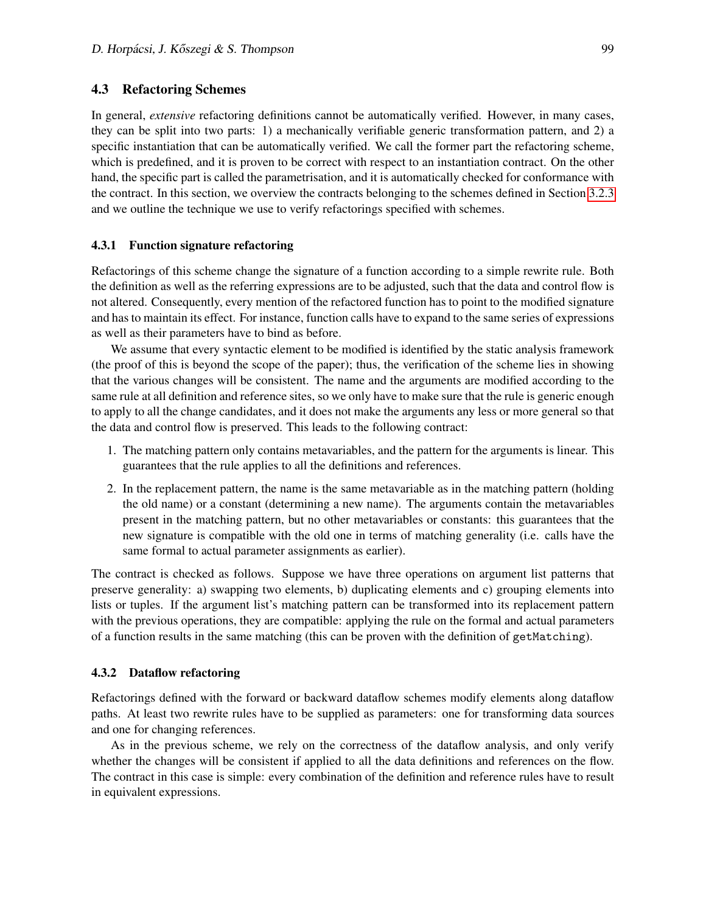#### 4.3 Refactoring Schemes

In general, *extensive* refactoring definitions cannot be automatically verified. However, in many cases, they can be split into two parts: 1) a mechanically verifiable generic transformation pattern, and 2) a specific instantiation that can be automatically verified. We call the former part the refactoring scheme, which is predefined, and it is proven to be correct with respect to an instantiation contract. On the other hand, the specific part is called the parametrisation, and it is automatically checked for conformance with the contract. In this section, we overview the contracts belonging to the schemes defined in Section [3.2.3](#page-8-0) and we outline the technique we use to verify refactorings specified with schemes.

#### 4.3.1 Function signature refactoring

Refactorings of this scheme change the signature of a function according to a simple rewrite rule. Both the definition as well as the referring expressions are to be adjusted, such that the data and control flow is not altered. Consequently, every mention of the refactored function has to point to the modified signature and has to maintain its effect. For instance, function calls have to expand to the same series of expressions as well as their parameters have to bind as before.

<span id="page-17-0"></span>We assume that every syntactic element to be modified is identified by the static analysis framework (the proof of this is beyond the scope of the paper); thus, the verification of the scheme lies in showing that the various changes will be consistent. The name and the arguments are modified according to the same rule at all definition and reference sites, so we only have to make sure that the rule is generic enough to apply to all the change candidates, and it does not make the arguments any less or more general so that the data and control flow is preserved. This leads to the following contract:

- 1. The matching pattern only contains metavariables, and the pattern for the arguments is linear. This guarantees that the rule applies to all the definitions and references.
- 2. In the replacement pattern, the name is the same metavariable as in the matching pattern (holding the old name) or a constant (determining a new name). The arguments contain the metavariables present in the matching pattern, but no other metavariables or constants: this guarantees that the new signature is compatible with the old one in terms of matching generality (i.e. calls have the same formal to actual parameter assignments as earlier).

The contract is checked as follows. Suppose we have three operations on argument list patterns that preserve generality: a) swapping two elements, b) duplicating elements and c) grouping elements into lists or tuples. If the argument list's matching pattern can be transformed into its replacement pattern with the previous operations, they are compatible: applying the rule on the formal and actual parameters of a function results in the same matching (this can be proven with the definition of getMatching).

#### <span id="page-17-1"></span>4.3.2 Dataflow refactoring

Refactorings defined with the forward or backward dataflow schemes modify elements along dataflow paths. At least two rewrite rules have to be supplied as parameters: one for transforming data sources and one for changing references.

As in the previous scheme, we rely on the correctness of the dataflow analysis, and only verify whether the changes will be consistent if applied to all the data definitions and references on the flow. The contract in this case is simple: every combination of the definition and reference rules have to result in equivalent expressions.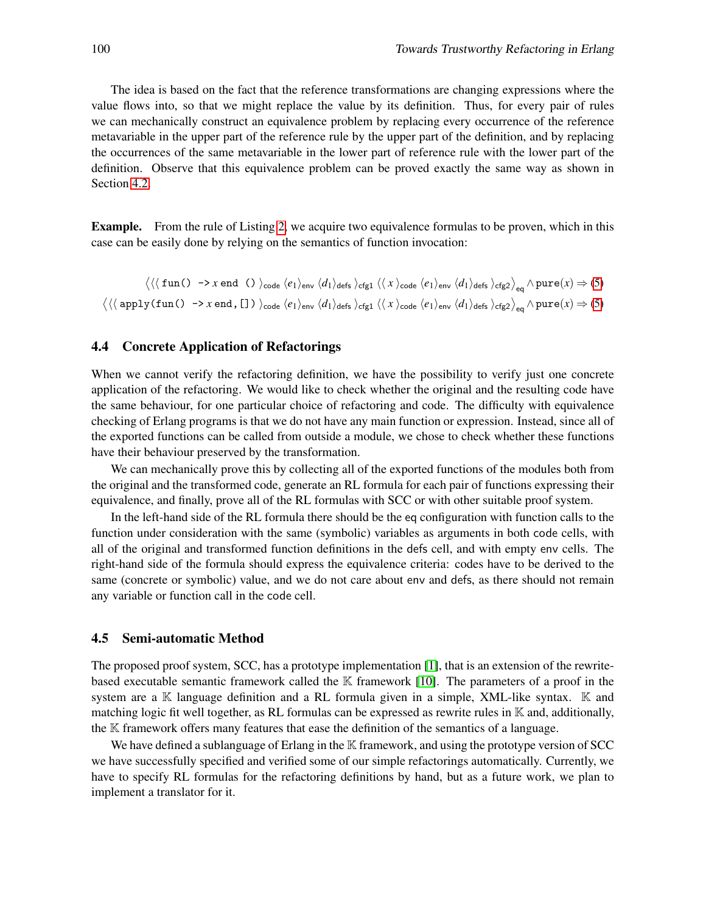<span id="page-18-0"></span>The idea is based on the fact that the reference transformations are changing expressions where the value flows into, so that we might replace the value by its definition. Thus, for every pair of rules we can mechanically construct an equivalence problem by replacing every occurrence of the reference metavariable in the upper part of the reference rule by the upper part of the definition, and by replacing the occurrences of the same metavariable in the lower part of reference rule with the lower part of the definition. Observe that this equivalence problem can be proved exactly the same way as shown in Section [4.2.](#page-14-0)

Example. From the rule of Listing [2,](#page-9-0) we acquire two equivalence formulas to be proven, which in this case can be easily done by relying on the semantics of function invocation:

 $\det \left\langle \left\langle \zeta \left( \text{fun}\left( \right) \right) \right\rangle \rightarrow x \text{ end }\left( \right) \right\rangle _{\text{code}} \left\langle e_{1} \right\rangle _{\text{env}} \left\langle d_{1} \right\rangle _{\text{defs}} \left\langle e_{1} \right\rangle _{\text{env}} \left\langle d_{1} \right\rangle _{\text{defs}} \left\langle e_{1} \right\rangle _{\text{exp}} \left\langle d_{1} \right\rangle _{\text{defs}} \left\langle e_{1} \right\rangle _{\text{exp}} \left\langle e_{1} \right\rangle _{\text{env}} \left\langle d_{1} \right\rangle _{\text{def$  $\det\left\langle \left\langle \left\langle \text{apply}(\text{fun}(\text{)}\right.\rightarrow\text{x end},\text{[}]\right.\right\rangle \right\rangle _{\text{code}}\left\langle e_{1}\right\rangle _{\text{env}}\left\langle d_{1}\right\rangle _{\text{defs}}\left\rangle _{\text{cfg1}}\left\langle \left\langle x\right\rangle _{\text{code}}\left\langle e_{1}\right\rangle _{\text{env}}\left\langle d_{1}\right\rangle _{\text{defs}}\left\langle e_{\text{f2}}\right\rangle _{\text{eq}}\left\langle \text{pure}(x)\Rightarrow(\text{5})\right\rangle _{\text{right}}$ 

#### 4.4 Concrete Application of Refactorings

When we cannot verify the refactoring definition, we have the possibility to verify just one concrete application of the refactoring. We would like to check whether the original and the resulting code have the same behaviour, for one particular choice of refactoring and code. The difficulty with equivalence checking of Erlang programs is that we do not have any main function or expression. Instead, since all of the exported functions can be called from outside a module, we chose to check whether these functions have their behaviour preserved by the transformation.

We can mechanically prove this by collecting all of the exported functions of the modules both from the original and the transformed code, generate an RL formula for each pair of functions expressing their equivalence, and finally, prove all of the RL formulas with SCC or with other suitable proof system.

In the left-hand side of the RL formula there should be the eq configuration with function calls to the function under consideration with the same (symbolic) variables as arguments in both code cells, with all of the original and transformed function definitions in the defs cell, and with empty env cells. The right-hand side of the formula should express the equivalence criteria: codes have to be derived to the same (concrete or symbolic) value, and we do not care about env and defs, as there should not remain any variable or function call in the code cell.

#### 4.5 Semi-automatic Method

The proposed proof system, SCC, has a prototype implementation [\[1\]](#page-19-3), that is an extension of the rewritebased executable semantic framework called the  $\mathbb K$  framework [\[10\]](#page-20-9). The parameters of a proof in the system are a  $\mathbb K$  language definition and a RL formula given in a simple, XML-like syntax.  $\mathbb K$  and matching logic fit well together, as RL formulas can be expressed as rewrite rules in  $K$  and, additionally, the K framework offers many features that ease the definition of the semantics of a language.

We have defined a sublanguage of Erlang in the  $\mathbb K$  framework, and using the prototype version of SCC we have successfully specified and verified some of our simple refactorings automatically. Currently, we have to specify RL formulas for the refactoring definitions by hand, but as a future work, we plan to implement a translator for it.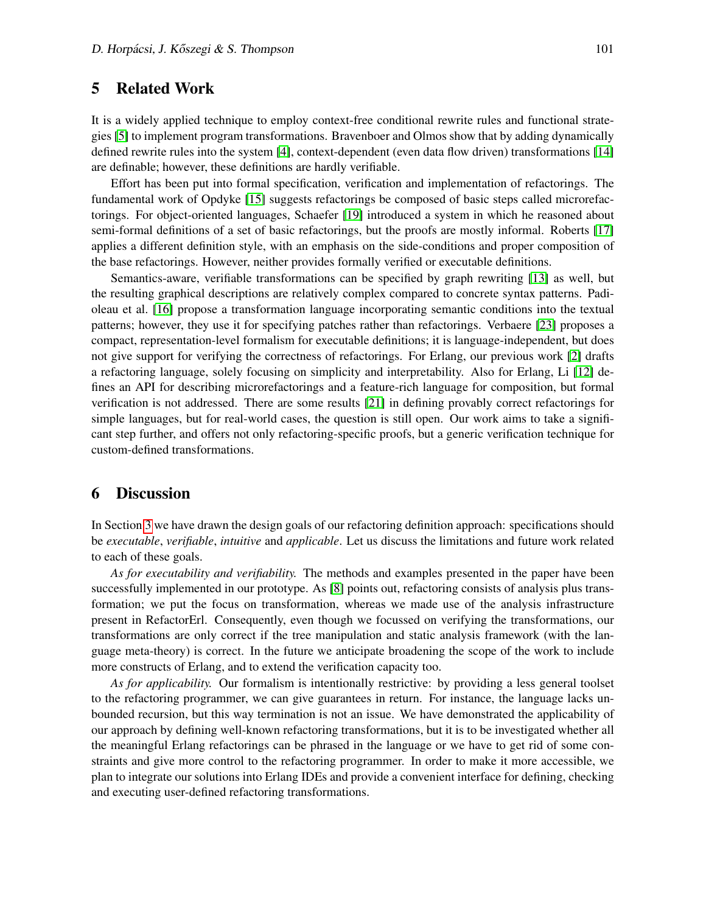## 5 Related Work

It is a widely applied technique to employ context-free conditional rewrite rules and functional strategies [\[5\]](#page-19-2) to implement program transformations. Bravenboer and Olmos show that by adding dynamically defined rewrite rules into the system [\[4\]](#page-19-4), context-dependent (even data flow driven) transformations [\[14\]](#page-20-10) are definable; however, these definitions are hardly verifiable.

<span id="page-19-0"></span>Effort has been put into formal specification, verification and implementation of refactorings. The fundamental work of Opdyke [\[15\]](#page-20-3) suggests refactorings be composed of basic steps called microrefactorings. For object-oriented languages, Schaefer [\[19\]](#page-20-11) introduced a system in which he reasoned about semi-formal definitions of a set of basic refactorings, but the proofs are mostly informal. Roberts [\[17\]](#page-20-12) applies a different definition style, with an emphasis on the side-conditions and proper composition of the base refactorings. However, neither provides formally verified or executable definitions.

Semantics-aware, verifiable transformations can be specified by graph rewriting [\[13\]](#page-20-13) as well, but the resulting graphical descriptions are relatively complex compared to concrete syntax patterns. Padioleau et al. [\[16\]](#page-20-14) propose a transformation language incorporating semantic conditions into the textual patterns; however, they use it for specifying patches rather than refactorings. Verbaere [\[23\]](#page-20-15) proposes a compact, representation-level formalism for executable definitions; it is language-independent, but does not give support for verifying the correctness of refactorings. For Erlang, our previous work [\[2\]](#page-19-5) drafts a refactoring language, solely focusing on simplicity and interpretability. Also for Erlang, Li [\[12\]](#page-20-16) defines an API for describing microrefactorings and a feature-rich language for composition, but formal verification is not addressed. There are some results [\[21\]](#page-20-17) in defining provably correct refactorings for simple languages, but for real-world cases, the question is still open. Our work aims to take a significant step further, and offers not only refactoring-specific proofs, but a generic verification technique for custom-defined transformations.

## 6 Discussion

In Section [3](#page-1-1) we have drawn the design goals of our refactoring definition approach: specifications should be *executable*, *verifiable*, *intuitive* and *applicable*. Let us discuss the limitations and future work related to each of these goals.

<span id="page-19-3"></span>*As for executability and verifiability.* The methods and examples presented in the paper have been successfully implemented in our prototype. As [\[8\]](#page-20-18) points out, refactoring consists of analysis plus transformation; we put the focus on transformation, whereas we made use of the analysis infrastructure present in RefactorErl. Consequently, even though we focussed on verifying the transformations, our transformations are only correct if the tree manipulation and static analysis framework (with the language meta-theory) is correct. In the future we anticipate broadening the scope of the work to include more constructs of Erlang, and to extend the verification capacity too.

<span id="page-19-5"></span><span id="page-19-4"></span><span id="page-19-2"></span><span id="page-19-1"></span>*As for applicability.* Our formalism is intentionally restrictive: by providing a less general toolset to the refactoring programmer, we can give guarantees in return. For instance, the language lacks unbounded recursion, but this way termination is not an issue. We have demonstrated the applicability of our approach by defining well-known refactoring transformations, but it is to be investigated whether all the meaningful Erlang refactorings can be phrased in the language or we have to get rid of some constraints and give more control to the refactoring programmer. In order to make it more accessible, we plan to integrate our solutions into Erlang IDEs and provide a convenient interface for defining, checking and executing user-defined refactoring transformations.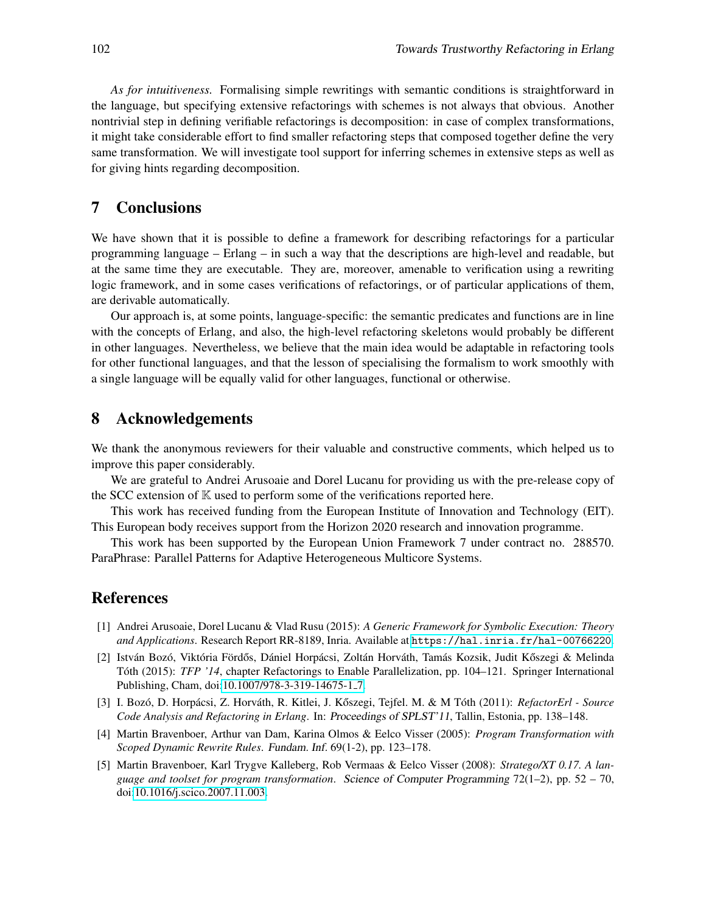<span id="page-20-18"></span><span id="page-20-6"></span><span id="page-20-1"></span><span id="page-20-0"></span>*As for intuitiveness.* Formalising simple rewritings with semantic conditions is straightforward in the language, but specifying extensive refactorings with schemes is not always that obvious. Another nontrivial step in defining verifiable refactorings is decomposition: in case of complex transformations, it might take considerable effort to find smaller refactoring steps that composed together define the very same transformation. We will investigate tool support for inferring schemes in extensive steps as well as for giving hints regarding decomposition.

## <span id="page-20-9"></span><span id="page-20-7"></span><span id="page-20-4"></span>7 Conclusions

<span id="page-20-16"></span>We have shown that it is possible to define a framework for describing refactorings for a particular programming language – Erlang – in such a way that the descriptions are high-level and readable, but at the same time they are executable. They are, moreover, amenable to verification using a rewriting logic framework, and in some cases verifications of refactorings, or of particular applications of them, are derivable automatically.

<span id="page-20-13"></span><span id="page-20-10"></span>Our approach is, at some points, language-specific: the semantic predicates and functions are in line with the concepts of Erlang, and also, the high-level refactoring skeletons would probably be different in other languages. Nevertheless, we believe that the main idea would be adaptable in refactoring tools for other functional languages, and that the lesson of specialising the formalism to work smoothly with a single language will be equally valid for other languages, functional or otherwise.

## <span id="page-20-14"></span><span id="page-20-3"></span>8 Acknowledgements

<span id="page-20-12"></span>We thank the anonymous reviewers for their valuable and constructive comments, which helped us to improve this paper considerably.

<span id="page-20-5"></span>We are grateful to Andrei Arusoaie and Dorel Lucanu for providing us with the pre-release copy of the SCC extension of  $K$  used to perform some of the verifications reported here.

<span id="page-20-11"></span>This work has received funding from the European Institute of Innovation and Technology (EIT). This European body receives support from the Horizon 2020 research and innovation programme.

<span id="page-20-8"></span>This work has been supported by the European Union Framework 7 under contract no. 288570. ParaPhrase: Parallel Patterns for Adaptive Heterogeneous Multicore Systems.

## <span id="page-20-17"></span>References

- <span id="page-20-2"></span>[1] Andrei Arusoaie, Dorel Lucanu & Vlad Rusu (2015): *A Generic Framework for Symbolic Execution: Theory and Applications*. Research Report RR-8189, Inria. Available at <https://hal.inria.fr/hal-00766220>.
- <span id="page-20-15"></span>[2] István Bozó, Viktória Fördős, Dániel Horpácsi, Zoltán Horváth, Tamás Kozsik, Judit Kőszegi & Melinda Tóth (2015): *TFP '14*, chapter Refactorings to Enable Parallelization, pp. 104–121. Springer International Publishing, Cham, doi[:10.1007/978-3-319-14675-1](http://dx.doi.org/10.1007/978-3-319-14675-1_7) 7.
- [3] I. Bozó, D. Horpácsi, Z. Horváth, R. Kitlei, J. Kőszegi, Tejfel. M. & M Tóth (2011): *RefactorErl Source Code Analysis and Refactoring in Erlang*. In: *Proceedings of SPLST'11*, Tallin, Estonia, pp. 138–148.
- [4] Martin Bravenboer, Arthur van Dam, Karina Olmos & Eelco Visser (2005): *Program Transformation with Scoped Dynamic Rewrite Rules*. *Fundam. Inf.* 69(1-2), pp. 123–178.
- [5] Martin Bravenboer, Karl Trygve Kalleberg, Rob Vermaas & Eelco Visser (2008): *Stratego/XT 0.17. A language and toolset for program transformation*. *Science of Computer Programming* 72(1–2), pp. 52 – 70, doi[:10.1016/j.scico.2007.11.003.](http://dx.doi.org/10.1016/j.scico.2007.11.003)